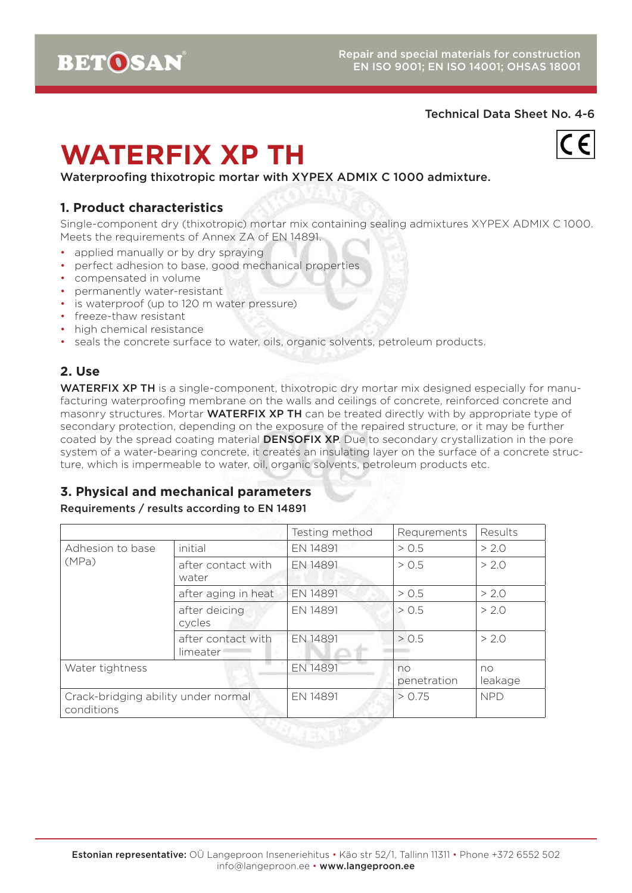

# **WATERFIX XP TH**

 $\overline{C}$ 

Waterproofing thixotropic mortar with XYPEX ADMIX C 1000 admixture.

#### **1. Product characteristics**

Single-component dry (thixotropic) mortar mix containing sealing admixtures XYPEX ADMIX C 1000. Meets the requirements of Annex ZA of EN 14891.

- applied manually or by dry spraying
- perfect adhesion to base, good mechanical properties
- compensated in volume
- permanently water-resistant
- is waterproof (up to 120 m water pressure)
- freeze-thaw resistant
- high chemical resistance
- seals the concrete surface to water, oils, organic solvents, petroleum products.

# **2. Use**

WATERFIX XP TH is a single-component, thixotropic dry mortar mix designed especially for manufacturing waterproofing membrane on the walls and ceilings of concrete, reinforced concrete and masonry structures. Mortar WATERFIX XP TH can be treated directly with by appropriate type of secondary protection, depending on the exposure of the repaired structure, or it may be further coated by the spread coating material **DENSOFIX XP**. Due to secondary crystallization in the pore system of a water-bearing concrete, it creates an insulating layer on the surface of a concrete structure, which is impermeable to water, oil, organic solvents, petroleum products etc.

# **3. Physical and mechanical parameters**

#### Requirements / results according to EN 14891

|                                                   |                                | Testing method | Requrements       | Results       |
|---------------------------------------------------|--------------------------------|----------------|-------------------|---------------|
| Adhesion to base<br>(MPa)                         | initial                        | EN 14891       | > 0.5             | > 2.0         |
|                                                   | after contact with<br>water    | EN 14891       | > 0.5             | > 2.0         |
|                                                   | after aging in heat            | EN 14891       | > 0.5             | > 2.0         |
|                                                   | after deicing<br>cycles        | EN 14891       | > 0.5             | > 2.0         |
|                                                   | after contact with<br>limeater | EN 14891       | > 0.5             | > 2.0         |
| Water tightness                                   |                                | EN 14891       | no<br>penetration | no<br>leakage |
| Crack-bridging ability under normal<br>conditions |                                | EN 14891       | > 0.75            | <b>NPD</b>    |

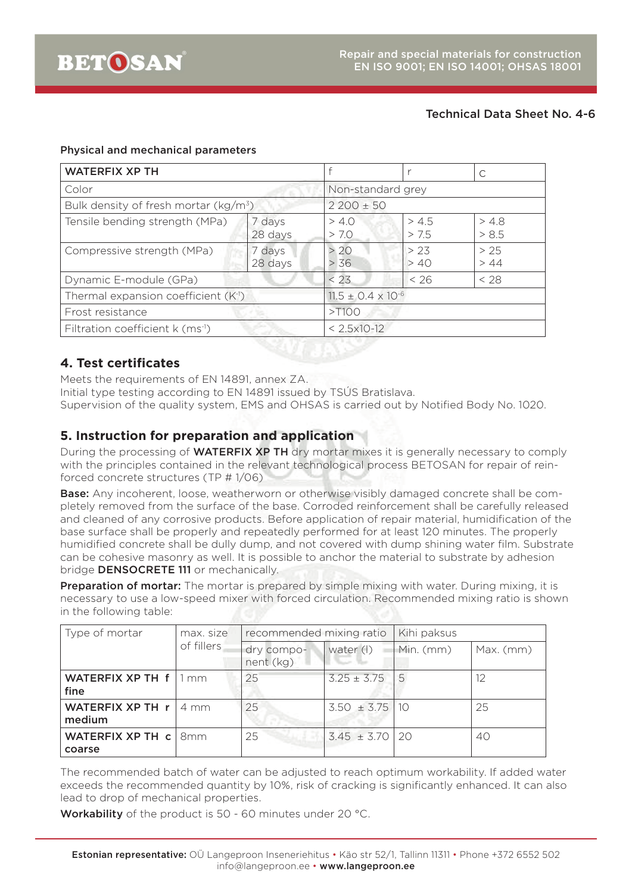#### Physical and mechanical parameters

| <b>WATERFIX XP TH</b>                            |                   |                               |                   |                |  |  |
|--------------------------------------------------|-------------------|-------------------------------|-------------------|----------------|--|--|
| Color                                            |                   |                               | Non-standard grey |                |  |  |
| Bulk density of fresh mortar ( $kg/m^3$ )        |                   | $2200 \pm 50$                 |                   |                |  |  |
| Tensile bending strength (MPa)                   | 7 days<br>28 days | > 4.0<br>> 7.0                | > 4.5<br>> 7.5    | > 4.8<br>> 8.5 |  |  |
| Compressive strength (MPa)                       | 7 days<br>28 days | > 20<br>> 36                  | > 23<br>> 40      | > 25<br>> 44   |  |  |
| Dynamic E-module (GPa)                           |                   | < 23                          | < 26              | $<$ 28         |  |  |
| Thermal expansion coefficient (K <sup>-1</sup> ) |                   | $11.5 \pm 0.4 \times 10^{-6}$ |                   |                |  |  |
| Frost resistance                                 |                   | >100                          |                   |                |  |  |
| Filtration coefficient $k$ (ms <sup>-1</sup> )   |                   | $< 2.5 \times 10^{-12}$       |                   |                |  |  |

## **4. Test certificates**

Meets the requirements of EN 14891, annex ZA.

Initial type testing according to EN 14891 issued by TSÚS Bratislava.

Supervision of the quality system, EMS and OHSAS is carried out by Notified Body No. 1020.

# **5. Instruction for preparation and application**

During the processing of **WATERFIX XP TH** dry mortar mixes it is generally necessary to comply with the principles contained in the relevant technological process BETOSAN for repair of reinforced concrete structures (TP # 1/06)

Base: Any incoherent, loose, weatherworn or otherwise visibly damaged concrete shall be completely removed from the surface of the base. Corroded reinforcement shall be carefully released and cleaned of any corrosive products. Before application of repair material, humidification of the base surface shall be properly and repeatedly performed for at least 120 minutes. The properly humidified concrete shall be dully dump, and not covered with dump shining water film. Substrate can be cohesive masonry as well. It is possible to anchor the material to substrate by adhesion bridge DENSOCRETE 111 or mechanically.

Preparation of mortar: The mortar is prepared by simple mixing with water. During mixing, it is necessary to use a low-speed mixer with forced circulation. Recommended mixing ratio is shown in the following table:

| Type of mortar                         | max. size  | recommended mixing ratio |                    | Kihi paksus |             |
|----------------------------------------|------------|--------------------------|--------------------|-------------|-------------|
|                                        | of fillers | dry compo-<br>nent (kg)  | water (I)          | Min. (mm)   | $Max.$ (mm) |
| WATERFIX XP TH f   1 mm<br>fine        |            | 25                       | $3.25 \pm 3.75$    | 5           |             |
| WATERFIX XP TH $r \mid 4$ mm<br>medium |            | 25                       | $3.50 \pm 3.75$ 10 |             | 25          |
| WATERFIX XP TH c   8mm<br>coarse       |            | 25                       | $3.45 \pm 3.70$ 20 |             | 40          |

The recommended batch of water can be adjusted to reach optimum workability. If added water exceeds the recommended quantity by 10%, risk of cracking is significantly enhanced. It can also lead to drop of mechanical properties.

Workability of the product is 50 - 60 minutes under 20 °C.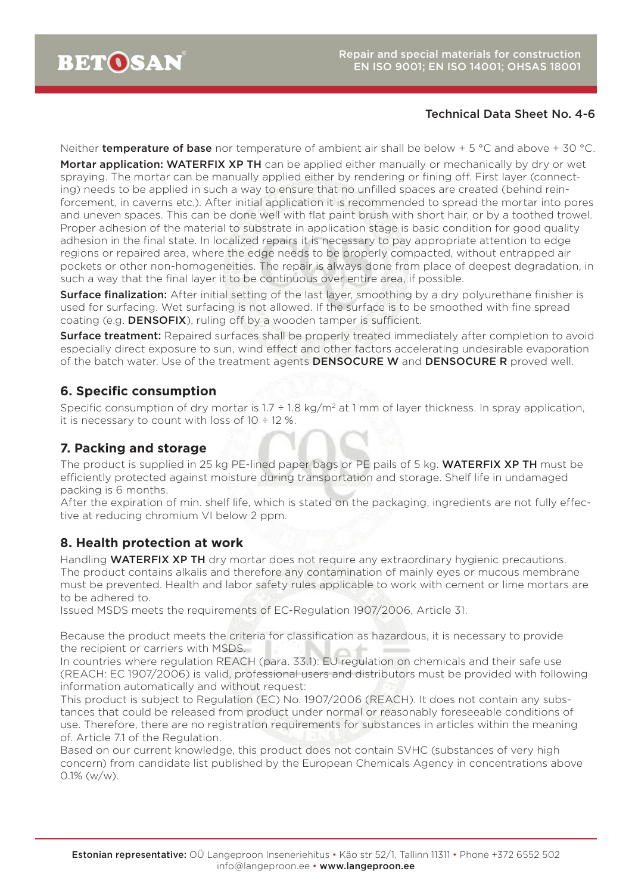Neither **temperature of base** nor temperature of ambient air shall be below  $+5^{\circ}$ C and above  $+30^{\circ}$ C. Mortar application: WATERFIX XP TH can be applied either manually or mechanically by dry or wet spraying. The mortar can be manually applied either by rendering or fining off. First layer (connecting) needs to be applied in such a way to ensure that no unfilled spaces are created (behind reinforcement, in caverns etc.). After initial application it is recommended to spread the mortar into pores and uneven spaces. This can be done well with flat paint brush with short hair, or by a toothed trowel. Proper adhesion of the material to substrate in application stage is basic condition for good quality adhesion in the final state. In localized repairs it is necessary to pay appropriate attention to edge regions or repaired area, where the edge needs to be properly compacted, without entrapped air pockets or other non-homogeneities. The repair is always done from place of deepest degradation, in such a way that the final layer it to be continuous over entire area, if possible.

**Surface finalization:** After initial setting of the last layer, smoothing by a dry polyurethane finisher is used for surfacing. Wet surfacing is not allowed. If the surface is to be smoothed with fine spread coating (e.g. **DENSOFIX**), ruling off by a wooden tamper is sufficient.

**Surface treatment:** Repaired surfaces shall be properly treated immediately after completion to avoid especially direct exposure to sun, wind effect and other factors accelerating undesirable evaporation of the batch water. Use of the treatment agents **DENSOCURE W** and **DENSOCURE R** proved well.

## **6. Specific consumption**

Specific consumption of dry mortar is  $1.7 \div 1.8$  kg/m<sup>2</sup> at 1 mm of layer thickness. In spray application, it is necessary to count with loss of  $10 \div 12$  %.

#### **7. Packing and storage**

The product is supplied in 25 kg PE-lined paper bags or PE pails of 5 kg. WATERFIX XP TH must be efficiently protected against moisture during transportation and storage. Shelf life in undamaged packing is 6 months.

After the expiration of min. shelf life, which is stated on the packaging, ingredients are not fully effective at reducing chromium VI below 2 ppm.

# **8. Health protection at work**

Handling **WATERFIX XP TH** dry mortar does not require any extraordinary hygienic precautions. The product contains alkalis and therefore any contamination of mainly eyes or mucous membrane must be prevented. Health and labor safety rules applicable to work with cement or lime mortars are to be adhered to.

Issued MSDS meets the requirements of EC-Regulation 1907/2006, Article 31.

Because the product meets the criteria for classification as hazardous, it is necessary to provide the recipient or carriers with MSDS.

In countries where regulation REACH (para. 33.1): EU regulation on chemicals and their safe use (REACH: EC 1907/2006) is valid, professional users and distributors must be provided with following information automatically and without request:

This product is subject to Regulation (EC) No. 1907/2006 (REACH). It does not contain any substances that could be released from product under normal or reasonably foreseeable conditions of use. Therefore, there are no registration requirements for substances in articles within the meaning of. Article 7.1 of the Regulation.

Based on our current knowledge, this product does not contain SVHC (substances of very high concern) from candidate list published by the European Chemicals Agency in concentrations above 0.1% (w/w).